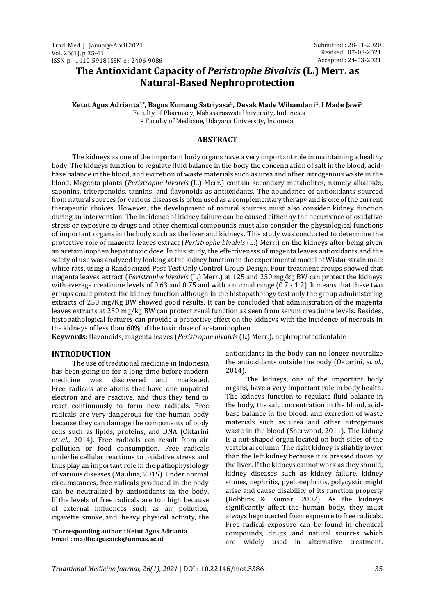# **The Antioxidant Capacity of** *Peristrophe Bivalvis* **(L.) Merr. as Natural-Based Nephroprotection**

**Ketut Agus Adrianta1\* , Bagus Komang Satriyasa2, Desak Made Wihandani2, I Made Jawi<sup>2</sup>**

<sup>1</sup> Faculty of Pharmacy, Mahasaraswati University, Indonesia <sup>2</sup> Faculty of Medicine, Udayana University, Indoneia

#### **ABSTRACT**

The kidneys as one of the important body organs have a very important role in maintaining a healthy body. The kidneys function to regulate fluid balance in the body the concentration of salt in the blood, acidbase balance in the blood, and excretion of waste materials such as urea and other nitrogenous waste in the blood. Magenta plants (*Peristrophe bivalvis* (L.) Merr.) contain secondary metabolites, namely alkaloids, saponins, triterpenoids, tannins, and flavonoids as antioxidants. The abundance of antioxidants sourced from natural sources for various diseases is often used as a complementary therapy and is one of the current therapeutic choices. However, the development of natural sources must also consider kidney function during an intervention. The incidence of kidney failure can be caused either by the occurrence of oxidative stress or exposure to drugs and other chemical compounds must also consider the physiological functions of important organs in the body such as the liver and kidneys. This study was conducted to determine the protective role of magenta leaves extract (*Peristrophe bivalvis* (L.) Merr.) on the kidneys after being given an acetaminophen hepatotoxic dose. In this study, the effectiveness of magenta leaves antioxidants and the safety of use was analyzed by looking at the kidney function in the experimental model of Wistar strain male white rats, using a Randomized Post Test Only Control Group Design. Four treatment groups showed that magenta leaves extract (*Peristrophe bivalvis* (L.) Merr.) at 125 and 250 mg/kg BW can protect the kidneys with average creatinine levels of 0.63 and 0.75 and with a normal range (0.7 - 1.2). It means that these two groups could protect the kidney function although in the histopathology test only the group administering extracts of 250 mg/Kg BW showed good results. It can be concluded that administration of the magenta leaves extracts at 250 mg/kg BW can protect renal function as seen from serum creatinine levels. Besides, histopathological features can provide a protective effect on the kidneys with the incidence of necrosis in the kidneys of less than 60% of the toxic dose of acetaminophen.

**Keywords:** flavonoids; magenta leaves (*Peristrophe bivalvis* (L.) Merr.); nephroprotectiontable

# **INTRODUCTION**

The use of traditional medicine in Indonesia has been going on for a long time before modern medicine was discovered and marketed. Free radicals are atoms that have one unpaired electron and are reactive, and thus they tend to react continuously to form new radicals. Free radicals are very dangerous for the human body because they can damage the components of body cells such as lipids, proteins, and DNA (Oktarini *et al*., 2014). Free radicals can result from air pollution or food consumption. Free radicals underlie cellular reactions to oxidative stress and thus play an important role in the pathophysiology of various diseases (Maulina, 2015). Under normal circumstances, free radicals produced in the body can be neutralized by antioxidants in the body. If the levels of free radicals are too high because of external influences such as air pollution, cigarette smoke, and heavy physical activity, the

**\*Corresponding author : Ketut Agus Adrianta Email : mailto:agusaick@unmas.ac.id**

antioxidants in the body can no longer neutralize the antioxidants outside the body (Oktarini, *et al*., 2014).

The kidneys, one of the important body organs, have a very important role in body health. The kidneys function to regulate fluid balance in the body, the salt concentration in the blood, acidbase balance in the blood, and excretion of waste materials such as urea and other nitrogenous waste in the blood (Sherwood, 2011). The kidney is a nut-shaped organ located on both sides of the vertebral column. The right kidney is slightly lower than the left kidney because it is pressed down by the liver. If the kidneys cannot work as they should, kidney diseases such as kidney failure, kidney stones, nephritis, pyelonephritis, polycystic might arise and cause disability of its function properly (Robbins & Kumar, 2007). As the kidneys significantly affect the human body, they must always be protected from exposure to free radicals. Free radical exposure can be found in chemical compounds, drugs, and natural sources which are widely used in alternative treatment.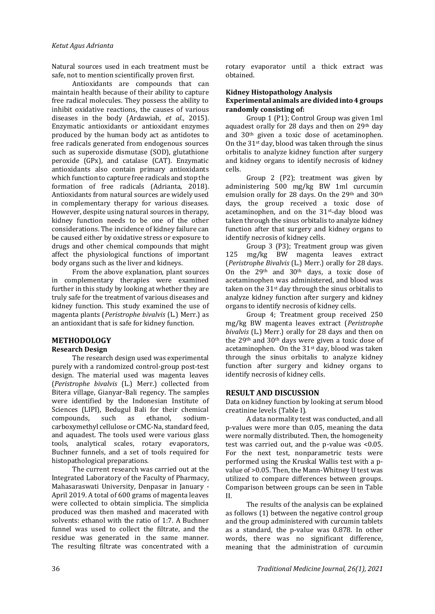Natural sources used in each treatment must be safe, not to mention scientifically proven first.

Antioxidants are compounds that can maintain health because of their ability to capture free radical molecules. They possess the ability to inhibit oxidative reactions, the causes of various diseases in the body (Ardawiah, *et al*., 2015). Enzymatic antioxidants or antioxidant enzymes produced by the human body act as antidotes to free radicals generated from endogenous sources such as superoxide dismutase (SOD), glutathione peroxide (GPx), and catalase (CAT). Enzymatic antioxidants also contain primary antioxidants which function to capture free radicals and stop the formation of free radicals (Adrianta, 2018). Antioxidants from natural sources are widely used in complementary therapy for various diseases. However, despite using natural sources in therapy, kidney function needs to be one of the other considerations. The incidence of kidney failure can be caused either by oxidative stress or exposure to drugs and other chemical compounds that might affect the physiological functions of important body organs such as the liver and kidneys.

From the above explanation, plant sources in complementary therapies were examined further in this study by looking at whether they are truly safe for the treatment of various diseases and kidney function. This study examined the use of magenta plants (*Peristrophe bivalvis* (L.) Merr.) as an antioxidant that is safe for kidney function.

# **METHODOLOGY**

# **Research Design**

The research design used was experimental purely with a randomized control-group post-test design. The material used was magenta leaves (*Peristrophe bivalvis* (L.) Merr.) collected from Bitera village, Gianyar-Bali regency. The samples were identified by the Indonesian Institute of Sciences (LIPI), Bedugul Bali for their chemical compounds, such as ethanol, sodiumcarboxymethyl cellulose or CMC-Na, standard feed, and aquadest. The tools used were various glass tools, analytical scales, rotary evaporators, Buchner funnels, and a set of tools required for histopathological preparations.

The current research was carried out at the Integrated Laboratory of the Faculty of Pharmacy, Mahasaraswati University, Denpasar in January - April 2019. A total of 600 grams of magenta leaves were collected to obtain simplicia. The simplicia produced was then mashed and macerated with solvents: ethanol with the ratio of 1:7. A Buchner funnel was used to collect the filtrate, and the residue was generated in the same manner. The resulting filtrate was concentrated with a rotary evaporator until a thick extract was obtained.

#### **Kidney Histopathology Analysis Experimental animals are divided into 4 groups randomly consisting of:**

Group 1 (P1); Control Group was given 1ml aquadest orally for 28 days and then on 29<sup>th</sup> day and 30th given a toxic dose of acetaminophen. On the  $31<sup>st</sup>$  day, blood was taken through the sinus orbitalis to analyze kidney function after surgery and kidney organs to identify necrosis of kidney cells.

Group 2 (P2); treatment was given by administering 500 mg/kg BW 1ml curcumin emulsion orally for 28 days. On the 29th and 30th days, the group received a toxic dose of acetaminophen, and on the 31st-day blood was taken through the sinus orbitalis to analyze kidney function after that surgery and kidney organs to identify necrosis of kidney cells.

Group 3 (P3); Treatment group was given 125 mg/kg BW magenta leaves extract (*Peristrophe Bivalvis* (L.) Merr.) orally for 28 days. On the 29th and 30th days, a toxic dose of acetaminophen was administered, and blood was taken on the 31st day through the sinus orbitalis to analyze kidney function after surgery and kidney organs to identify necrosis of kidney cells.

Group 4; Treatment group received 250 mg/kg BW magenta leaves extract (*Peristrophe bivalvis* (L.) Merr.) orally for 28 days and then on the 29th and 30th days were given a toxic dose of acetaminophen. On the 31st day, blood was taken through the sinus orbitalis to analyze kidney function after surgery and kidney organs to identify necrosis of kidney cells.

# **RESULT AND DISCUSSION**

Data on kidney function by looking at serum blood creatinine levels (Table I).

A data normality test was conducted, and all p-values were more than 0.05, meaning the data were normally distributed. Then, the homogeneity test was carried out, and the p-value was <0.05. For the next test, nonparametric tests were performed using the Kruskal Wallis test with a pvalue of >0.05. Then, the Mann-Whitney U test was utilized to compare differences between groups. Comparison between groups can be seen in Table II.

The results of the analysis can be explained as follows (1) between the negative control group and the group administered with curcumin tablets as a standard, the p-value was 0.878. In other words, there was no significant difference, meaning that the administration of curcumin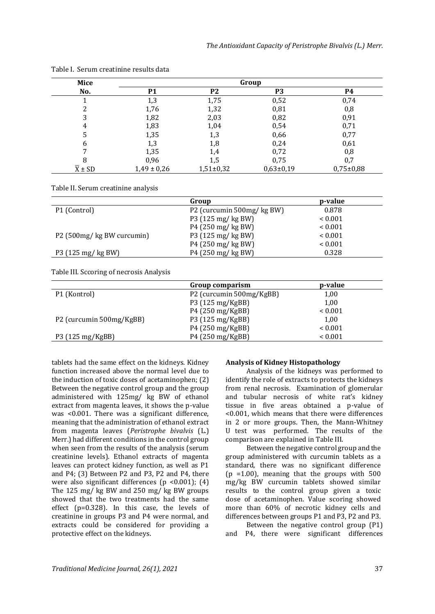| Mice                  | Group           |                |               |               |
|-----------------------|-----------------|----------------|---------------|---------------|
| No.                   | <b>P1</b>       | P <sub>2</sub> | P3            | P4            |
|                       | 1,3             | 1,75           | 0,52          | 0,74          |
|                       | 1,76            | 1,32           | 0,81          | 0,8           |
|                       | 1,82            | 2,03           | 0,82          | 0,91          |
| 4                     | 1,83            | 1,04           | 0,54          | 0,71          |
| 5                     | 1,35            | 1,3            | 0,66          | 0,77          |
| 6                     | 1,3             | 1,8            | 0,24          | 0,61          |
|                       | 1,35            | 1,4            | 0,72          | 0,8           |
| 8                     | 0,96            | 1,5            | 0,75          | 0,7           |
| $\overline{X} \pm SD$ | $1,49 \pm 0,26$ | $1,51\pm0,32$  | $0,63\pm0,19$ | $0,75\pm0,88$ |

Table I. Serum creatinine results data

Table II. Serum creatinine analysis

|                            | Group                     | p-value      |
|----------------------------|---------------------------|--------------|
| P1 (Control)               | P2 (curcumin 500mg/kg BW) | 0.878        |
|                            | P3 (125 mg/ kg BW)        | ${}_{0.001}$ |
|                            | P4 (250 mg/ kg BW)        | ${}_{0.001}$ |
| P2 (500mg/ kg BW curcumin) | P3 (125 mg/ kg BW)        | ${}_{0.001}$ |
|                            | P4 (250 mg/ kg BW)        | ${}_{0.001}$ |
| P3 (125 mg/ kg BW)         | P4 (250 mg/ kg BW)        | 0.328        |

Table III. Sccoring of necrosis Analysis

|                          | Group comparism          | p-value      |
|--------------------------|--------------------------|--------------|
| P1 (Kontrol)             | P2 (curcumin 500mg/KgBB) | 1,00         |
|                          | P3 (125 mg/KgBB)         | 1,00         |
|                          | P4 (250 mg/KgBB)         | ${}_{0.001}$ |
| P2 (curcumin 500mg/KgBB) | P3 (125 mg/KgBB)         | 1,00         |
|                          | P4 (250 mg/KgBB)         | ${}_{0.001}$ |
| P3 (125 mg/KgBB)         | P4 (250 mg/KgBB)         | ${}_{0.001}$ |

tablets had the same effect on the kidneys. Kidney function increased above the normal level due to the induction of toxic doses of acetaminophen; (2) Between the negative control group and the group administered with 125mg/ kg BW of ethanol extract from magenta leaves, it shows the p-value was <0.001. There was a significant difference, meaning that the administration of ethanol extract from magenta leaves (*Peristrophe bivalvis* (L.) Merr.) had different conditions in the control group when seen from the results of the analysis (serum creatinine levels). Ethanol extracts of magenta leaves can protect kidney function, as well as P1 and P4; (3) Between P2 and P3, P2 and P4, there were also significant differences (p <0.001); (4) The 125 mg/ kg BW and 250 mg/ kg BW groups showed that the two treatments had the same effect (p=0.328). In this case, the levels of creatinine in groups P3 and P4 were normal, and extracts could be considered for providing a protective effect on the kidneys.

#### **Analysis of Kidney Histopathology**

Analysis of the kidneys was performed to identify the role of extracts to protects the kidneys from renal necrosis. Examination of glomerular and tubular necrosis of white rat's kidney tissue in five areas obtained a p-value of <0.001, which means that there were differences in 2 or more groups. Then, the Mann-Whitney U test was performed. The results of the comparison are explained in Table III.

Between the negative control group and the group administered with curcumin tablets as a standard, there was no significant difference  $(p = 1.00)$ , meaning that the groups with 500 mg/kg BW curcumin tablets showed similar results to the control group given a toxic dose of acetaminophen. Value scoring showed more than 60% of necrotic kidney cells and differences between groups P1 and P3, P2 and P3.

Between the negative control group (P1) and P4, there were significant differences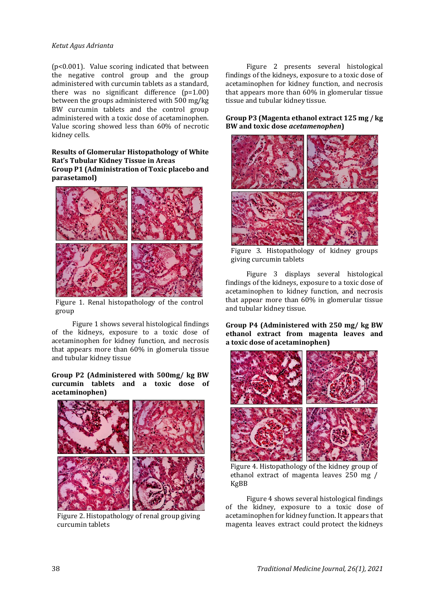#### *Ketut Agus Adrianta*

(p<0.001). Value scoring indicated that between the negative control group and the group administered with curcumin tablets as a standard, there was no significant difference (p=1.00) between the groups administered with 500 mg/kg BW curcumin tablets and the control group administered with a toxic dose of acetaminophen. Value scoring showed less than 60% of necrotic kidney cells.

#### **Results of Glomerular Histopathology of White Rat's Tubular Kidney Tissue in Areas Group P1 (Administration of Toxic placebo and parasetamol)**



Figure 1. Renal histopathology of the control group

Figure 1 shows several histological findings of the kidneys, exposure to a toxic dose of acetaminophen for kidney function, and necrosis that appears more than 60% in glomerula tissue and tubular kidney tissue

#### **Group P2 (Administered with 500mg/ kg BW curcumin tablets and a toxic dose of acetaminophen)**



Figure 2. Histopathology of renal group giving curcumin tablets

Figure 2 presents several histological findings of the kidneys, exposure to a toxic dose of acetaminophen for kidney function, and necrosis that appears more than 60% in glomerular tissue tissue and tubular kidney tissue.

**Group P3 (Magenta ethanol extract 125 mg / kg BW and toxic dose** *acetamenophen***)**



Figure 3. Histopathology of kidney groups giving curcumin tablets

Figure 3 displays several histological findings of the kidneys, exposure to a toxic dose of acetaminophen to kidney function, and necrosis that appear more than 60% in glomerular tissue and tubular kidney tissue.

**Group P4 (Administered with 250 mg/ kg BW ethanol extract from magenta leaves and a toxic dose of acetaminophen)**



Figure 4. Histopathology of the kidney group of ethanol extract of magenta leaves 250 mg / KgBB

Figure 4 shows several histological findings of the kidney, exposure to a toxic dose of acetaminophen for kidney function. It appears that magenta leaves extract could protect the kidneys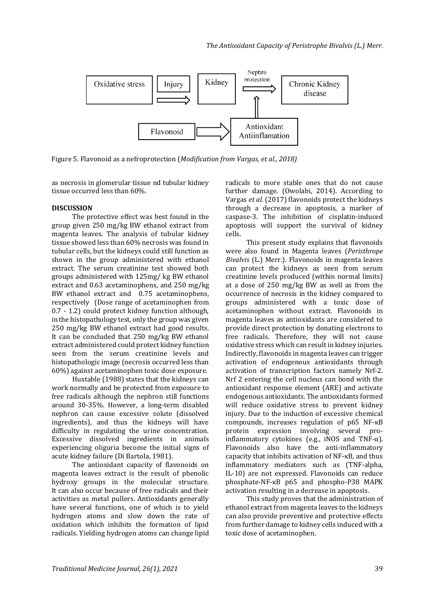

Figure 5. Flavonoid as a nefroprotection (*Modification from Vargas, et al., 2018)*

as necrosis in glomerular tissue nd tubular kidney tissue occurred less than 60%.

#### **DISCUSSION**

The protective effect was best found in the group given 250 mg/kg BW ethanol extract from magenta leaves. The analysis of tubular kidney tissue showed less than 60% necrosis was found in tubular cells, but the kidneys could still function as shown in the group administered with ethanol extract. The serum creatinine test showed both groups administered with 125mg/ kg BW ethanol extract and 0.63 acetaminophens, and 250 mg/kg BW ethanol extract and 0.75 acetaminophens, respectively (Dose range of acetaminophen from 0.7 - 1.2) could protect kidney function although, in the histopathology test, only the group was given 250 mg/kg BW ethanol extract had good results. It can be concluded that 250 mg/kg BW ethanol extract administered could protect kidney function seen from the serum creatinine levels and histopathologic image (necrosis occurred less than 60%) against acetaminophen toxic dose exposure.

Huxtable (1988) states that the kidneys can work normally and be protected from exposure to free radicals although the nephron still functions around 30-35%. However, a long-term disabled nephron can cause excessive solute (dissolved ingredients), and thus the kidneys will have difficulty in regulating the urine concentration. Excessive dissolved ingredients in animals experiencing oliguria become the initial signs of acute kidney failure (Di Bartola, 1981).

The antioxidant capacity of flavonoids on magenta leaves extract is the result of phenolic hydroxy groups in the molecular structure. It can also occur because of free radicals and their activities as metal pullers. Antioxidants generally have several functions, one of which is to yield hydrogen atoms and slow down the rate of oxidation which inhibits the formation of lipid radicals. Yielding hydrogen atoms can change lipid radicals to more stable ones that do not cause further damage. (Owolabi, 2014). According to Vargas *et al*. (2017) flavonoids protect the kidneys through a decrease in apoptosis, a marker of caspase-3. The inhibition of cisplatin-induced apoptosis will support the survival of kidney cells.

This present study explains that flavonoids were also found in Magenta leaves (*Peristhrope Bivalvis* (L.) Merr.). Flavonoids in magenta leaves can protect the kidneys as seen from serum creatinine levels produced (within normal limits) at a dose of 250 mg/kg BW as well as from the occurrence of necrosis in the kidney compared to groups administered with a toxic dose of acetaminophen without extract. Flavonoids in magenta leaves as antioxidants are considered to provide direct protection by donating electrons to free radicals. Therefore, they will not cause oxidative stress which can result in kidney injuries. Indirectly, flavonoids in magenta leaves can trigger activation of endogenous antioxidants through activation of transcription factors namely Nrf-2. Nrf 2 entering the cell nucleus can bond with the antioxidant response element (ARE) and activate endogenous antioxidants. The antioxidants formed will reduce oxidative stress to prevent kidney injury. Due to the induction of excessive chemical compounds, increases regulation of p65 NF-κB protein expression involving several proinflammatory cytokines (e.g., iNOS and TNF- $\alpha$ ). Flavonoids also have the anti-inflammatory capacity that inhibits activation of NF-κB, and thus inflammatory mediators such as (TNF-alpha, IL-10) are not expressed. Flavonoids can reduce phosphate-NF-κB p65 and phospho-P38 MAPK activation resulting in a decrease in apoptosis.

This study proves that the administration of ethanol extract from magenta leaves to the kidneys can also provide preventive and protective effects from further damage to kidney cells induced with a toxic dose of acetaminophen.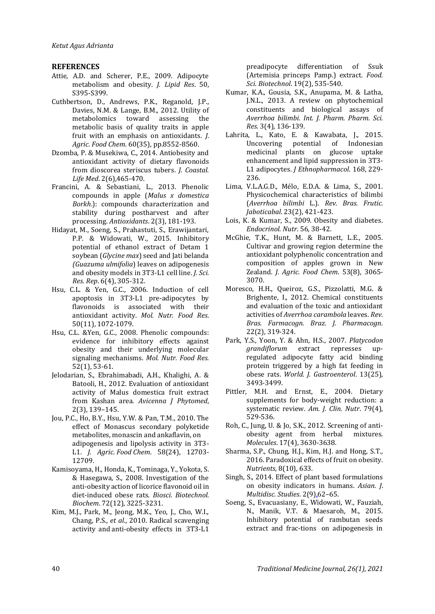### **REFERENCES**

- Attie, A.D. and Scherer, P.E., 2009. Adipocyte metabolism and obesity. *J. Lipid Res*. 50, S395-S399.
- Cuthbertson, D., Andrews, P.K., Reganold, J.P., Davies, N.M. & Lange, B.M., 2012. Utility of metabolomics toward assessing the metabolic basis of quality traits in apple fruit with an emphasis on antioxidants. *J. Agric. Food Chem*. 60(35), pp.8552-8560.
- Dzomba, P. & Musekiwa, C., 2014. Antiobesity and antioxidant activity of dietary flavonoids from dioscorea steriscus tubers. *J. Coastal. Life Med*. 2(6),465-470.
- Francini, A. & Sebastiani, L., 2013. Phenolic compounds in apple (*Malus x domestica Borkh*.): compounds characterization and stability during postharvest and after processing. *Antioxidants*. 2(3), 181-193.
- Hidayat, M., Soeng, S., Prahastuti, S., Erawijantari, P.P. & Widowati, W., 2015. Inhibitory potential of ethanol extract of Detam 1 soybean (*Glycine max*) seed and Jati belanda *(Guazuma ulmifolia*) leaves on adipogenesis and obesity models in 3T3-L1 cell line. *J. Sci. Res. Rep*. 6(4), 305-312.
- Hsu, C.L. & Yen, G.C., 2006. Induction of cell apoptosis in 3T3‐L1 pre‐adipocytes by flavonoids is associated with their antioxidant activity. *Mol. Nutr. Food Res*. 50(11), 1072-1079.
- Hsu, C.L. &Yen, G.C., 2008. Phenolic compounds: evidence for inhibitory effects against obesity and their underlying molecular signaling mechanisms. *Mol. Nutr. Food Res.* 52(1), 53-61.
- Jelodarian, S., Ebrahimabadi, A.H., Khalighi, A. & Batooli, H., 2012. Evaluation of antioxidant activity of Malus domestica fruit extract from Kashan area. *Avicenna J Phytomed*, 2(3), 139–145.
- Jou, P.C., Ho, B.Y., Hsu, Y.W. & Pan, T.M., 2010. The effect of Monascus secondary polyketide metabolites, monascin and ankaflavin, on adipogenesis and lipolysis activity in 3T3- L1. *J. Agric. Food Chem*. 58(24), 12703- 12709.
- Kamisoyama, H., Honda, K., Tominaga, Y., Yokota, S. & Hasegawa, S., 2008. Investigation of the anti-obesity action of licorice flavonoid oil in diet-induced obese rats. *Biosci. Biotechnol. Biochem*. 72(12), 3225-3231.
- Kim, M.J., Park, M., Jeong, M.K., Yeo, J., Cho, W.I., Chang, P.S., *et al*., 2010. Radical scavenging activity and anti-obesity effects in 3T3-L1

preadipocyte differentiation of Ssuk (Artemisia princeps Pamp.) extract. *Food. Sci. Biotechnol*. 19(2), 535-540.

- Kumar, K.A., Gousia, S.K., Anupama, M. & Latha, J.N.L., 2013. A review on phytochemical constituents and biological assays of *Averrhoa bilimbi. Int. J. Pharm. Pharm. Sci. Res*. 3(4), 136-139.
- Lahrita, L., Kato, E. & Kawabata, J., 2015. Uncovering potential of Indonesian medicinal plants on glucose uptake enhancement and lipid suppression in 3T3- L1 adipocytes. *J Ethnopharmacol*. 168, 229- 236.
- Lima, V.L.A.G.D., Mélo, E.D.A. & Lima, S., 2001. Physicochemical characteristics of bilimbi (*Averrhoa bilimbi* L.). *Rev. Bras. Frutic. Jaboticabal*. 23(2), 421-423.
- Lois, K. & Kumar, S., 2009. Obesity and diabetes. *Endocrinol. Nutr*. 56, 38-42.
- McGhie, T.K., Hunt, M. & Barnett, L.E., 2005. Cultivar and growing region determine the antioxidant polyphenolic concentration and composition of apples grown in New Zealand. *J. Agric. Food Chem*. 53(8), 3065- 3070.
- Moresco, H.H., Queiroz, G.S., Pizzolatti, M.G. & Brighente, I., 2012. Chemical constituents and evaluation of the toxic and antioxidant activities of *Averrhoa carambola* leaves. *Rev. Bras. Farmacogn. Braz. J. Pharmacogn*. 22(2), 319-324.
- Park, Y.S., Yoon, Y. & Ahn, H.S., 2007. *Platycodon grandiflorum* extract represses upregulated adipocyte fatty acid binding protein triggered by a high fat feeding in obese rats. *World. J. Gastroenterol*. 13(25), 3493-3499.
- Pittler, M.H. and Ernst, E., 2004. Dietary supplements for body-weight reduction: a systematic review*. Am. J. Clin. Nutr*. 79(4), 529-536.
- Roh, C., Jung, U. & Jo, S.K., 2012. Screening of antiobesity agent from herbal mixtures. *Molecules*. 17(4), 3630-3638.
- Sharma, S.P., Chung, H.J., Kim, H.J. and Hong, S.T., 2016. Paradoxical effects of fruit on obesity. *Nutrients*, 8(10), 633.
- Singh, S., 2014. Effect of plant based formulations on obesity indicators in humans. *Asian. J*. *Multidisc. Studies*. 2(9),62–65.
- Soeng, S., Evacuasiany, E., Widowati, W., Fauziah, N., Manik, V.T. & Maesaroh, M., 2015. Inhibitory potential of rambutan seeds extract and frac-tions on adipogenesis in